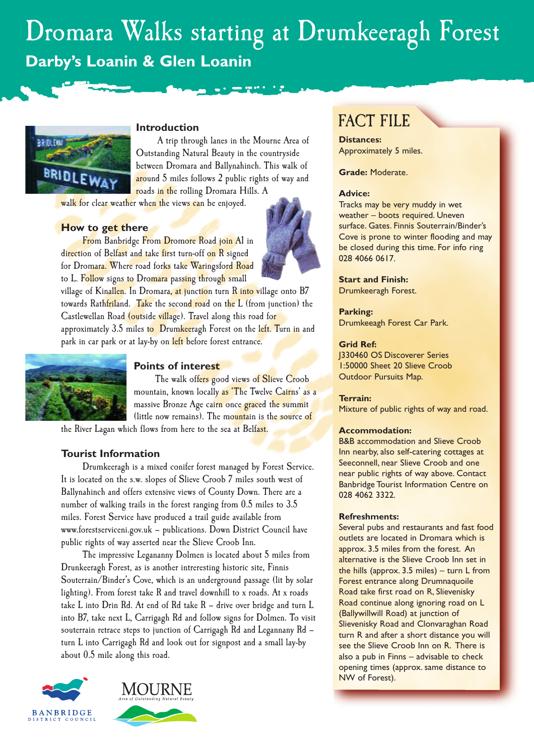# Dromara Walks starting at Drumkeeragh Forest **Darby's Loanin & Glen Loanin**



# **Introduction**

A trip through lanes in the Mourne Area of Outstanding Natural Beauty in the countryside between Dromara and Ballynahinch. This walk of around 5 miles follows 2 public rights of way and roads in the rolling Dromara Hills. A

walk for clear weather when the views can be enjoyed.

# **How to get there**

From Banbridge From Dromore Road join A1 in direction of Belfast and take first turn-off on R signed for Dromara. Where road forks take Waringsford Road to L. Follow signs to Dromara passing through small





# **Points of interest**

The walk offers good views of Slieve Croob mountain, known locally as 'The Twelve Cairns' as a massive Bronze Age cairn once graced the summit (little now remains). The mountain is the source of

the River Lagan which flows from here to the sea at Belfast.

### **Tourist Information**

Drumkeeragh is a mixed conifer forest managed by Forest Service. It is located on the s.w. slopes of Slieve Croob 7 miles south west of Ballynahinch and offers extensive views of County Down. There are a number of walking trails in the forest ranging from 0.5 miles to 3.5 miles. Forest Service have produced a trail guide available from www.forestserviceni.gov.uk – publications. Down District Council have public rights of way asserted near the Slieve Croob Inn.

The impressive Legananny Dolmen is located about 5 miles from Drunkeeragh Forest, as is another intreresting historic site, Finnis Souterrain/Binder's Cove, which is an underground passage (lit by solar lighting). From forest take R and travel downhill to x roads. At x roads take L into Drin Rd. At end of Rd take R – drive over bridge and turn L into B7, take next L, Carrigagh Rd and follow signs for Dolmen. To visit souterrain retrace steps to junction of Carrigagh Rd and Legannany Rd – turn L into Carrigagh Rd and look out for signpost and a small lay-by about 0.5 mile along this road.







# FACT FILE

**Distances:** Approximately 5 miles.

**Grade:** Moderate.

#### **Advice:**

Tracks may be very muddy in wet weather – boots required. Uneven surface. Gates. Finnis Souterrain/Binder's Cove is prone to winter flooding and may be closed during this time. For info ring 028 4066 0617.

#### **Start and Finish:**

Drumkeeragh Forest.

#### **Parking:**

Drumkeeagh Forest Car Park.

#### **Grid Ref:**

J330460 OS Discoverer Series 1:50000 Sheet 20 Slieve Croob Outdoor Pursuits Map.

#### **Terrain:**

Mixture of public rights of way and road.

#### **Accommodation:**

B&B accommodation and Slieve Croob Inn nearby, also self-catering cottages at Seeconnell, near Slieve Croob and one near public rights of way above. Contact Banbridge Tourist Information Centre on 028 4062 3322.

#### **Refreshments:**

Several pubs and restaurants and fast food outlets are located in Dromara which is approx. 3.5 miles from the forest. An alternative is the Slieve Croob Inn set in the hills (approx. 3.5 miles) – turn L from Forest entrance along Drumnaquoile Road take first road on R, Slievenisky Road continue along ignoring road on L (Ballywillwill Road) at junction of Slievenisky Road and Clonvaraghan Road turn R and after a short distance you will see the Slieve Croob Inn on R. There is also a pub in Finns – advisable to check opening times (approx. same distance to NW of Forest).